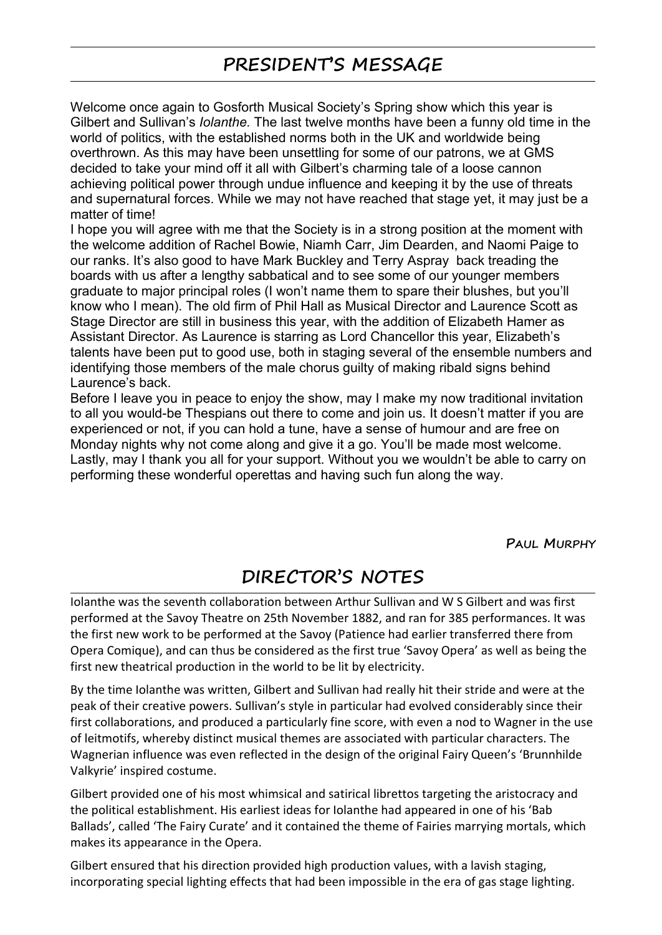## **PRESIDENT'S MESSAGE**

Welcome once again to Gosforth Musical Society's Spring show which this year is Gilbert and Sullivan's *Iolanthe.* The last twelve months have been a funny old time in the world of politics, with the established norms both in the UK and worldwide being overthrown. As this may have been unsettling for some of our patrons, we at GMS decided to take your mind off it all with Gilbert's charming tale of a loose cannon achieving political power through undue influence and keeping it by the use of threats and supernatural forces. While we may not have reached that stage yet, it may just be a matter of time!

I hope you will agree with me that the Society is in a strong position at the moment with the welcome addition of Rachel Bowie, Niamh Carr, Jim Dearden, and Naomi Paige to our ranks. It's also good to have Mark Buckley and Terry Aspray back treading the boards with us after a lengthy sabbatical and to see some of our younger members graduate to major principal roles (I won't name them to spare their blushes, but you'll know who I mean). The old firm of Phil Hall as Musical Director and Laurence Scott as Stage Director are still in business this year, with the addition of Elizabeth Hamer as Assistant Director. As Laurence is starring as Lord Chancellor this year, Elizabeth's talents have been put to good use, both in staging several of the ensemble numbers and identifying those members of the male chorus guilty of making ribald signs behind Laurence's back.

Before I leave you in peace to enjoy the show, may I make my now traditional invitation to all you would-be Thespians out there to come and join us. It doesn't matter if you are experienced or not, if you can hold a tune, have a sense of humour and are free on Monday nights why not come along and give it a go. You'll be made most welcome. Lastly, may I thank you all for your support. Without you we wouldn't be able to carry on performing these wonderful operettas and having such fun along the way.

**PAUL MURPHY**

## **DIRECTOR'S NOTES**

Iolanthe was the seventh collaboration between Arthur Sullivan and W S Gilbert and was first performed at the Savoy Theatre on 25th November 1882, and ran for 385 performances. It was the first new work to be performed at the Savoy (Patience had earlier transferred there from Opera Comique),and can thus be considered as the first true 'Savoy Opera' as well as being the first new theatrical production in the world to be lit by electricity.

By the time Iolanthe was written, Gilbert and Sullivan had really hit their stride and were at the peak of their creative powers. Sullivan's style in particular had evolved considerably since their first collaborations, and produced a particularly fine score, with even a nod to Wagner in the use of leitmotifs, whereby distinct musical themes are associated with particular characters. The Wagnerian influence was even reflected in the design of the original Fairy Queen's 'Brunnhilde Valkyrie' inspired costume.

Gilbert provided one of his most whimsical and satirical librettos targeting the aristocracy and the political establishment. His earliest ideas for Iolanthe had appeared in one of his 'Bab Ballads', called 'The Fairy Curate' and it contained the theme of Fairies marrying mortals, which makes its appearance in the Opera.

Gilbert ensured that his direction provided high production values, with a lavish staging, incorporating special lighting effects that had been impossible in the era of gas stage lighting.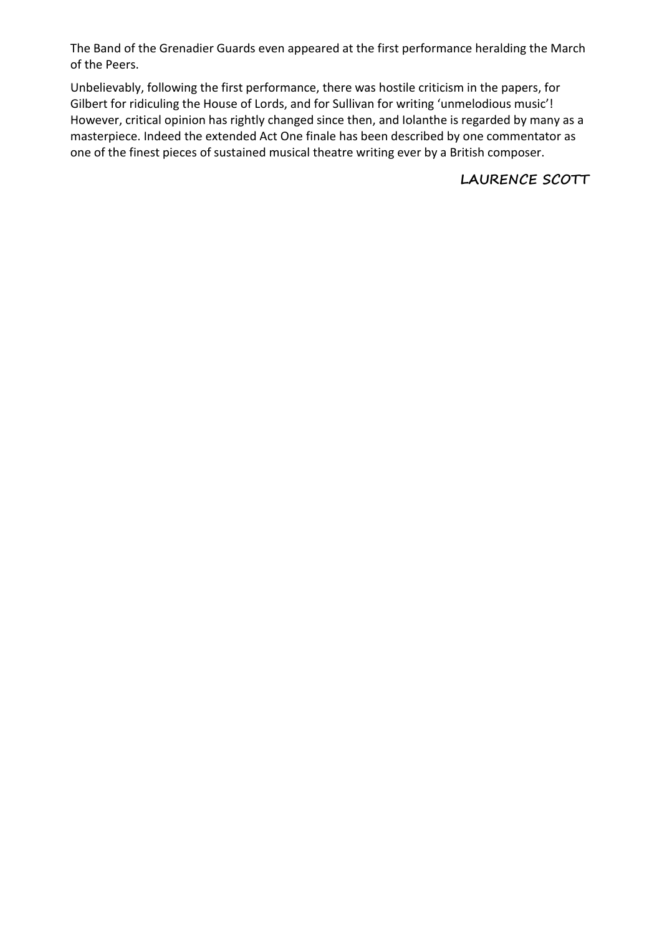The Band of the Grenadier Guards even appeared at the first performance heralding the March of the Peers.

Unbelievably, following the first performance, there was hostile criticism in the papers, for Gilbert for ridiculing the House of Lords, and for Sullivan for writing 'unmelodious music'! However, critical opinion has rightly changed since then, and Iolanthe is regarded by many as a masterpiece. Indeed the extended Act One finale has been described by one commentator as one of the finest pieces of sustained musical theatre writing ever by a British composer.

**LAURENCE SCOTT**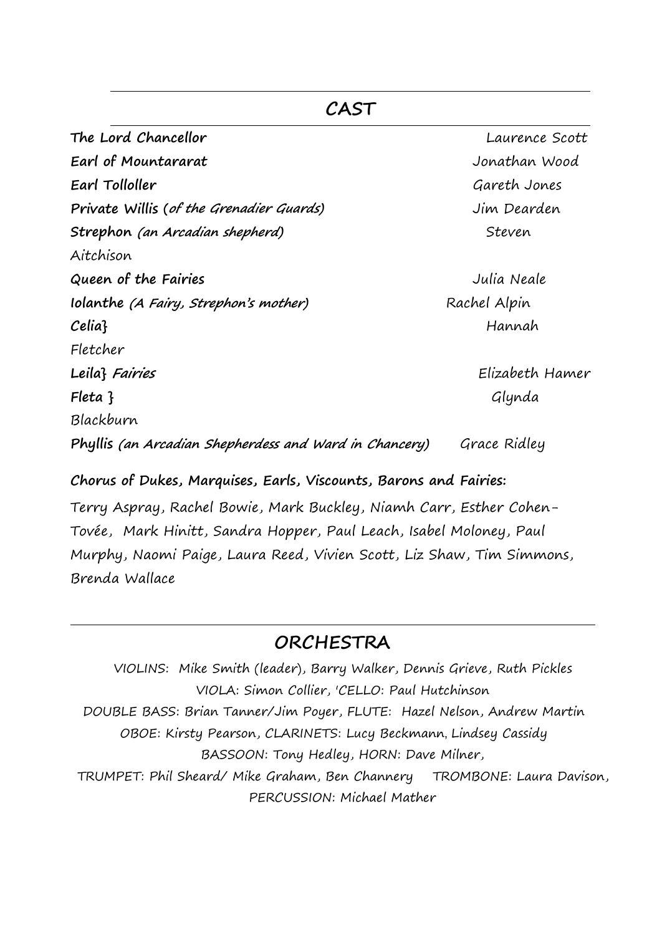**The Lord Chancellor** Laurence Scott **Earl of Mountararat** Jonathan Wood **Earl Tolloller** Gareth Jones **Private Willis (of the Grenadier Guards)** Jim Dearden **Strephon** (an **Arcadian shepherd**) Steven Aitchison **Queen of the Fairies** Julia Neale **Iolanthe** (A Fairy, Strephon's mother) Rachel Alpin **Celia}** Hannah Fletcher **Leila} Fairies** Elizabeth Hamer **Fleta }** Glynda Blackburn **Phyllis (an Arcadian Shepherdess and Ward in Chancery)** Grace Ridley

**CAST**

**Chorus of Dukes, Marquises, Earls, Viscounts, Barons and Fairies:**

Terry Aspray, Rachel Bowie, Mark Buckley, Niamh Carr, Esther Cohen- Tovée, Mark Hinitt, Sandra Hopper, Paul Leach, Isabel Moloney, Paul Murphy, Naomi Paige, Laura Reed, Vivien Scott, Liz Shaw, Tim Simmons, Brenda Wallace

## **ORCHESTRA**

VIOLINS: Mike Smith (leader), Barry Walker, Dennis Grieve, Ruth Pickles VIOLA: Simon Collier, 'CELLO: Paul Hutchinson DOUBLE BASS: Brian Tanner/Jim Poyer, FLUTE: Hazel Nelson, Andrew Martin OBOE: Kirsty Pearson,CLARINETS: Lucy Beckmann,Lindsey Cassidy BASSOON: Tony Hedley, HORN: Dave Milner, TRUMPET: Phil Sheard/ Mike Graham, Ben Channery TROMBONE: Laura Davison,PERCUSSION: Michael Mather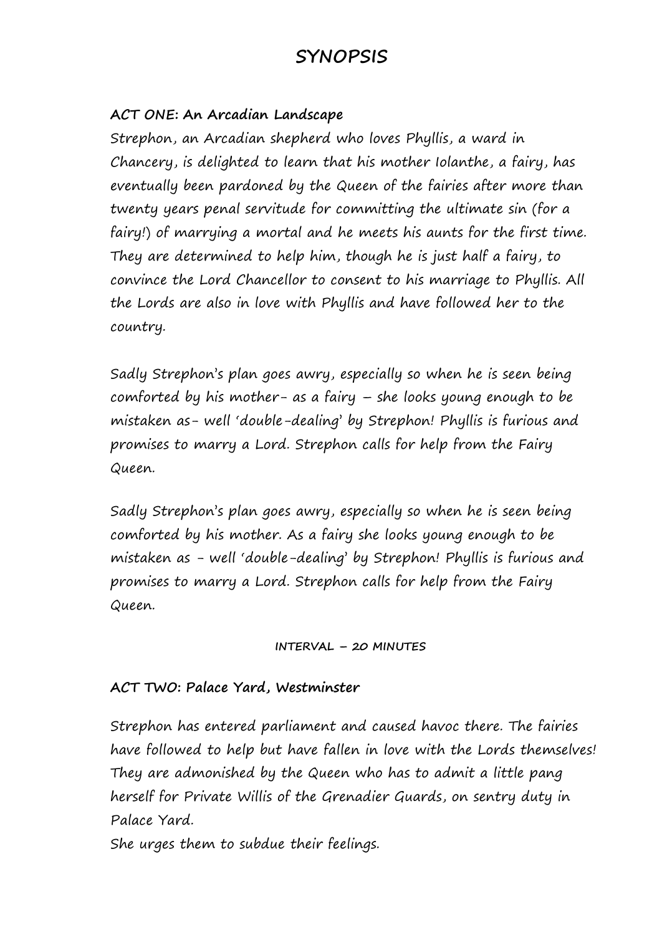## **SYNOPSIS**

#### **ACT ONE: An Arcadian Landscape**

Strephon, an Arcadian shepherd who loves Phyllis, a ward in Chancery, is delighted to learn that his mother Iolanthe, a fairy, has eventually been pardoned by the Queen of the fairies after more than twenty years penal servitude for committing the ultimate sin (for a fairy!) of marrying a mortal and he meets his aunts for the first time. They are determined to help him, though he is just half a fairy, to convince the Lord Chancellor to consent to his marriage to Phyllis. All the Lords are also in love with Phyllis and have followed her to the country.

Sadly Strephon's plan goes awry, especially so when he is seen being comforted by his mother- as a fairy – she looks young enough to be mistaken as- well 'double-dealing' by Strephon! Phyllis is furious and promises to marry a Lord. Strephon calls for help from the Fairy Queen.

Sadly Strephon's plan goes awry, especially so when he is seen being comforted by his mother. As a fairy she looks young enough to be mistaken as - well 'double-dealing' by Strephon! Phyllis is furious and promises to marry a Lord. Strephon calls for help from the Fairy Queen.

#### **INTERVAL – 20 MINUTES**

#### **ACT TWO: Palace Yard, Westminster**

Strephon has entered parliament and caused havoc there. The fairies have followed to help but have fallen in love with the Lords themselves! They are admonished by the Queen who has to admit a little pang herself for Private Willis of the Grenadier Guards, on sentry duty in Palace Yard.

She urges them to subdue their feelings.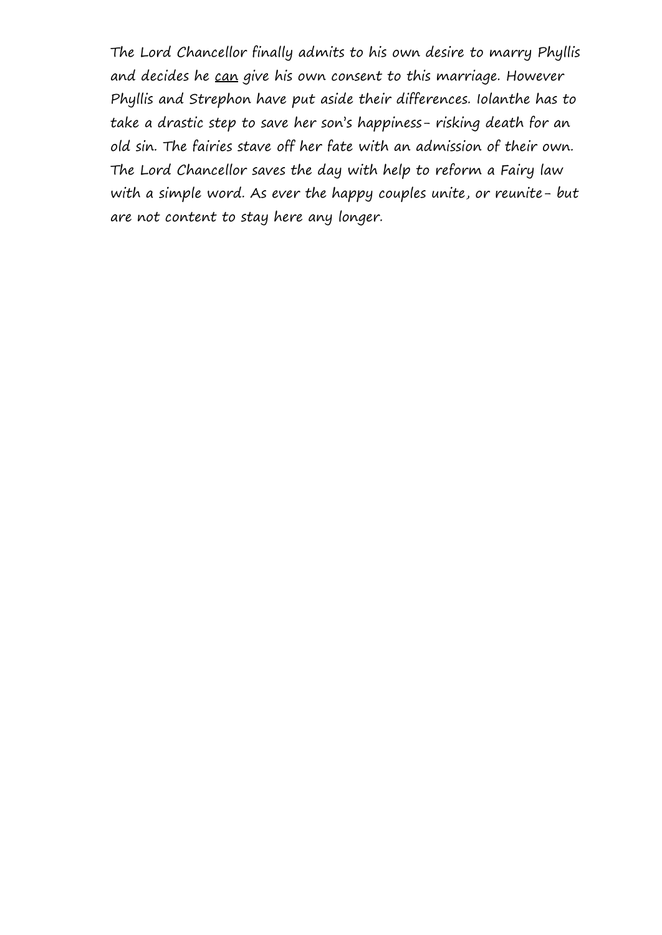The Lord Chancellor finally admits to his own desire to marry Phyllis and decides he can give his own consent to this marriage. However Phyllis and Strephon have put aside their differences. Iolanthe has to take a drastic step to save her son's happiness- risking death for an old sin. The fairies stave off her fate with an admission of their own. The Lord Chancellor saves the day with help to reform a Fairy law with a simple word. As ever the happy couples unite, or reunite- but are not content to stay here any longer.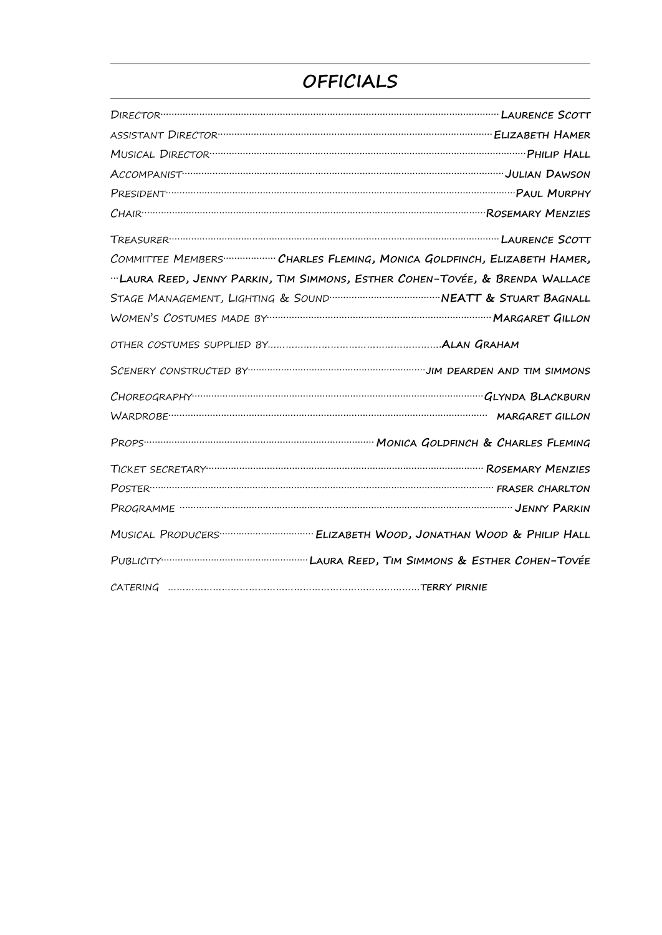# OFFICIALS

| DIRECTOR CONTINUES AND TRIAL CONTINUES.                                                                                                                                                                                             |  |
|-------------------------------------------------------------------------------------------------------------------------------------------------------------------------------------------------------------------------------------|--|
| ASSISTANT DIRECTOR <b>CONSTRUCTION</b> CONTROL CONTROL CONTROLS ASSISTANT DIRECTOR CONTROLS AND THE CONTROL CONTROL CONTROL CONTROL CONTROL CONTROL CONTROL CONTROL CONTROL CONTROL CONTROL CONTROL CONTROL CONTROL CONTROL CONTROL |  |
|                                                                                                                                                                                                                                     |  |
|                                                                                                                                                                                                                                     |  |
| PRESIDENT TELEVISION TELEVISION NURPHY                                                                                                                                                                                              |  |
|                                                                                                                                                                                                                                     |  |
|                                                                                                                                                                                                                                     |  |
| COMMITTEE MEMBERS  CHARLES FLEMING, MONICA GOLDFINCH, ELIZABETH HAMER,                                                                                                                                                              |  |
| "LAURA REED, JENNY PARKIN, TIM SIMMONS, ESTHER COHEN-TOVÉE, & BRENDA WALLACE                                                                                                                                                        |  |
|                                                                                                                                                                                                                                     |  |
|                                                                                                                                                                                                                                     |  |
|                                                                                                                                                                                                                                     |  |
|                                                                                                                                                                                                                                     |  |
|                                                                                                                                                                                                                                     |  |
|                                                                                                                                                                                                                                     |  |
|                                                                                                                                                                                                                                     |  |
|                                                                                                                                                                                                                                     |  |
| POSTER THARLTON                                                                                                                                                                                                                     |  |
|                                                                                                                                                                                                                                     |  |
|                                                                                                                                                                                                                                     |  |
|                                                                                                                                                                                                                                     |  |
|                                                                                                                                                                                                                                     |  |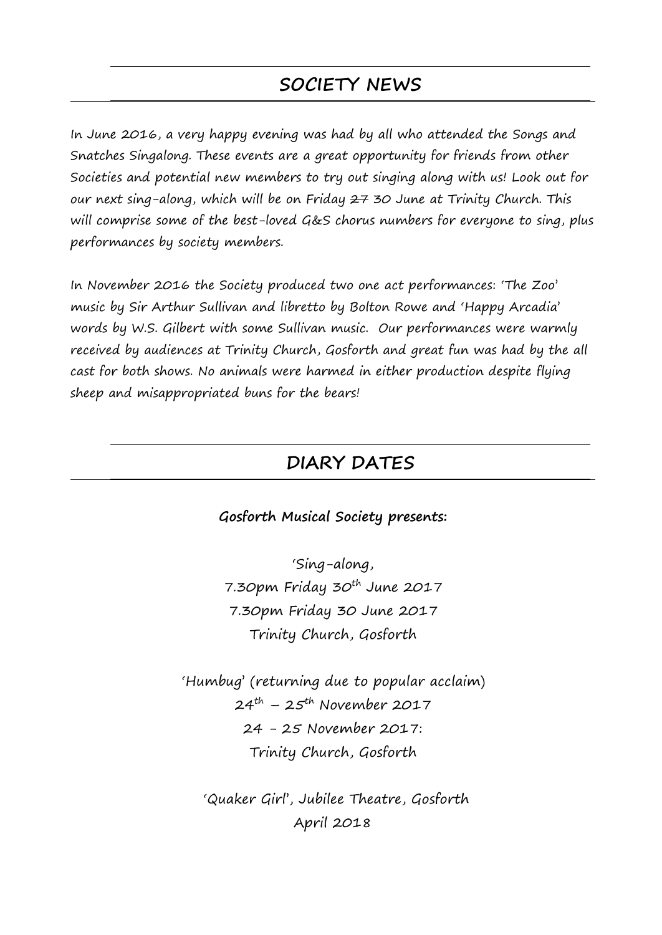## **SOCIETY NEWS**

In June 2016, a very happy evening was had by all who attended the Songs and Snatches Singalong. These events are a great opportunity for friends from other Societies and potential new members to try out singing along with us! Look out for our next sing-along, which will be on Friday 27 30 June at Trinity Church. This will comprise some of the best-loved G&S chorus numbers for everyone to sing, plus performances by society members.

In November 2016 the Society produced two one act performances: 'The Zoo' music by Sir Arthur Sullivan and libretto by Bolton Rowe and 'Happy Arcadia' words by W.S. Gilbert with some Sullivan music. Our performances were warmly received by audiences at Trinity Church, Gosforth and great fun was had by the all cast for both shows. No animals were harmed in either production despite flying sheep and misappropriated buns for the bears!

### **DIARY DATES**

**Gosforth Musical Society presents:**

'Sing-along, 7.30pm Friday 30<sup>th</sup> June 2017 7.30pm Friday 30 June 2017 Trinity Church, Gosforth

'Humbug' (returning due to popular acclaim) 24<sup>th</sup> – 25<sup>th</sup> November 2017 24 - 25 November 2017: Trinity Church, Gosforth

'Quaker Girl', Jubilee Theatre, Gosforth April 2018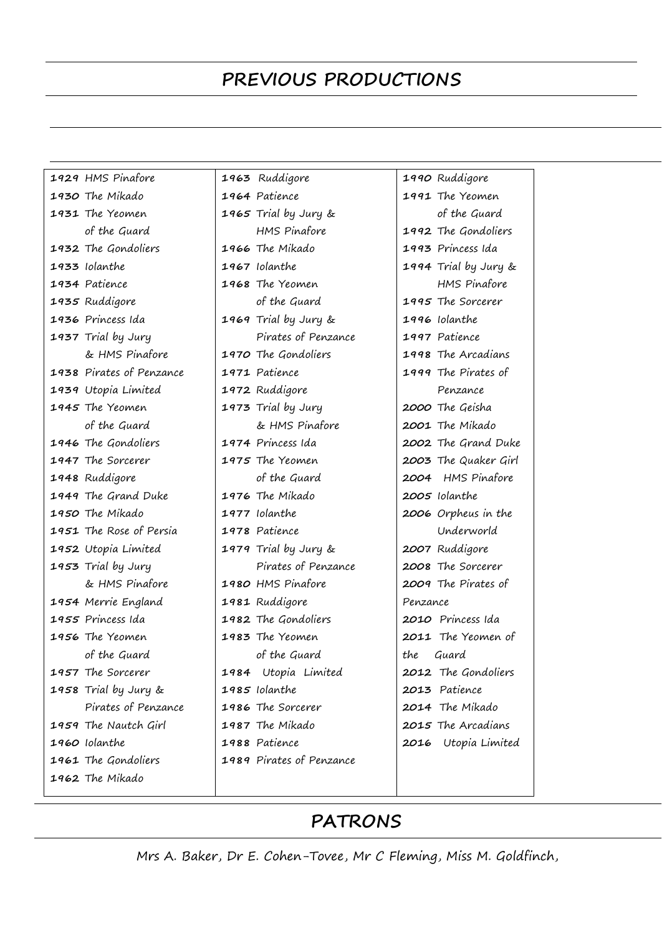## **PREVIOUS PRODUCTIONS**

| 1929 HMS Pinafore        | 1963 Ruddigore           | 1990 Ruddigore       |
|--------------------------|--------------------------|----------------------|
| 1930 The Mikado          | 1964 Patience            | 1991 The Yeomen      |
| 1931 The Yeomen          | 1965 Trial by Jury &     | of the Guard         |
| of the Guard             | <b>HMS Pinafore</b>      | 1992 The Gondoliers  |
| 1932 The Gondoliers      | 1966 The Mikado          | 1993 Princess Ida    |
| 1933 Iolanthe            | 1967 Iolanthe            | 1994 Trial by Jury & |
| 1934 Patience            | 1968 The Yeomen          | <b>HMS</b> Pinafore  |
| 1935 Ruddigore           | of the Guard             | 1995 The Sorcerer    |
| 1936 Princess Ida        | 1969 Trial by Jury &     | 1996 Iolanthe        |
| 1937 Trial by Jury       | Pirates of Penzance      | 1997 Patience        |
| & HMS Pinafore           | 1970 The Gondoliers      | 1998 The Arcadians   |
| 1938 Pirates of Penzance | 1971 Patience            | 1999 The Pirates of  |
| 1939 Utopia Limited      | 1972 Ruddigore           | Penzance             |
| 1945 The Yeomen          | 1973 Trial by Jury       | 2000 The Geisha      |
| of the Guard             | & HMS Pinafore           | 2001 The Mikado      |
| 1946 The Gondoliers      | 1974 Princess Ida        | 2002 The Grand Duke  |
| 1947 The Sorcerer        | 1975 The Yeomen          | 2003 The Quaker Girl |
| 1948 Ruddigore           | of the Guard             | 2004 HMS Pinafore    |
| 1949 The Grand Duke      | 1976 The Mikado          | 2005 Iolanthe        |
| 1950 The Mikado          | 1977 Iolanthe            | 2006 Orpheus in the  |
| 1951 The Rose of Persia  | 1978 Patience            | Underworld           |
| 1952 Utopia Limited      | 1979 Trial by Jury &     | 2007 Ruddigore       |
| 1953 Trial by Jury       | Pirates of Penzance      | 2008 The Sorcerer    |
| & HMS Pinafore           | 1980 HMS Pinafore        | 2009 The Pirates of  |
| 1954 Merrie England      | 1981 Ruddigore           | Penzance             |
| 1955 Princess Ida        | 1982 The Gondoliers      | 2010 Princess Ida    |
| 1956 The Yeomen          | 1983 The Yeomen          | 2011 The Yeomen of   |
| of the Guard             | of the Guard             | Guard<br>the         |
| 1957 The Sorcerer        | 1984 Utopia Limited      | 2012 The Gondoliers  |
| 1958 Trial by Jury &     | 1985 Iolanthe            | 2013 Patience        |
| Pirates of Penzance      | 1986 The Sorcerer        | 2014 The Mikado      |
| 1959 The Nautch Girl     | 1987 The Mikado          | 2015 The Arcadians   |
| 1960 Iolanthe            | 1988 Patience            | 2016 Utopia Limited  |
| 1961 The Gondoliers      | 1989 Pirates of Penzance |                      |
| 1962 The Mikado          |                          |                      |
|                          |                          |                      |

## **PATRONS**

Mrs A. Baker, Dr E. Cohen-Tovee, Mr C Fleming, Miss M. Goldfinch,